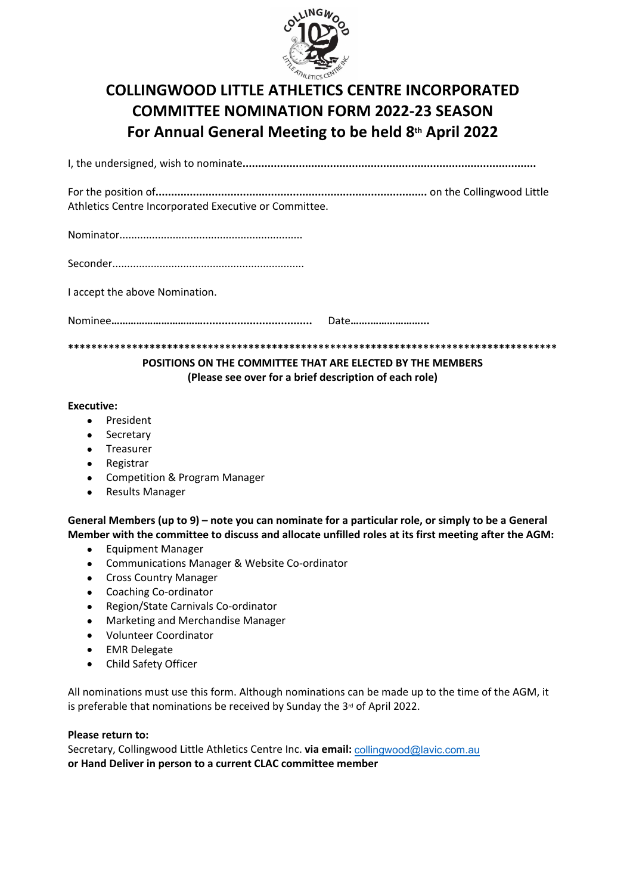

# **COLLINGWOOD LITTLE ATHLETICS CENTRE INCORPORATED COMMITTEE NOMINATION FORM 2022-23 SEASON** For Annual General Meeting to be held 8th April 2022

Athletics Centre Incorporated Executive or Committee.

I accept the above Nomination.

Date............................

POSITIONS ON THE COMMITTEE THAT ARE ELECTED BY THE MEMBERS (Please see over for a brief description of each role)

#### **Executive:**

- President
- Secretary
- Treasurer
- Registrar
- Competition & Program Manager
- **Results Manager**  $\bullet$

General Members (up to 9) – note you can nominate for a particular role, or simply to be a General Member with the committee to discuss and allocate unfilled roles at its first meeting after the AGM:

- $\bullet$ **Equipment Manager**
- Communications Manager & Website Co-ordinator
- Cross Country Manager
- Coaching Co-ordinator
- Region/State Carnivals Co-ordinator
- Marketing and Merchandise Manager
- Volunteer Coordinator
- **EMR Delegate**
- Child Safety Officer  $\bullet$

All nominations must use this form. Although nominations can be made up to the time of the AGM, it is preferable that nominations be received by Sunday the 3<sup>rd</sup> of April 2022.

#### Please return to:

Secretary, Collingwood Little Athletics Centre Inc. via email: collingwood@lavic.com.au or Hand Deliver in person to a current CLAC committee member